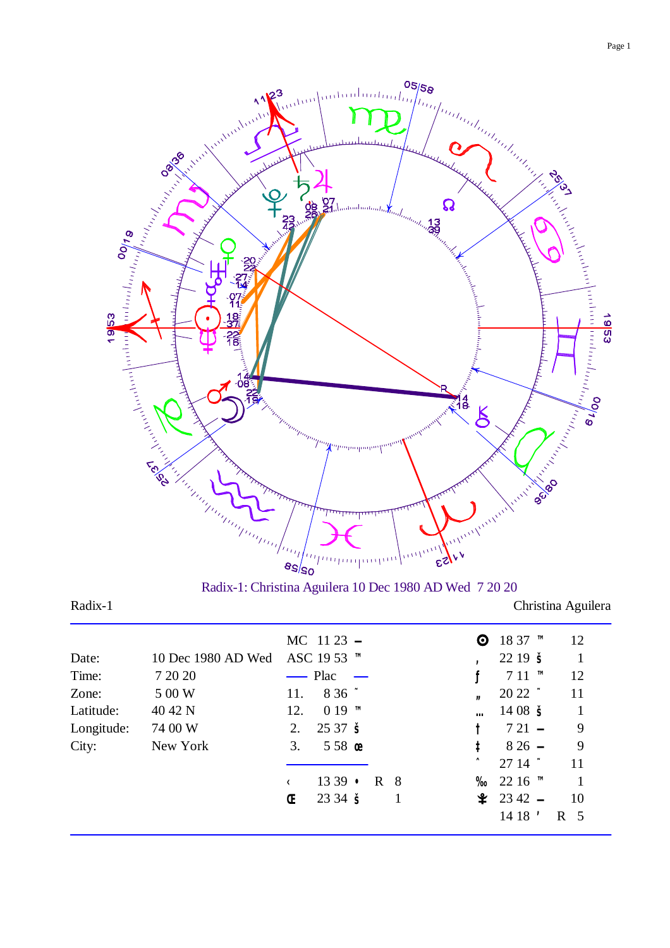

Radix-1: Christina Aguilera 10 Dec 1980 AD Wed 7 20 20

Radix-1 Christina Aguilera

|            |                    |     | MC $11\,23$ -          |  |    | © $1837$ ™    | 12             |
|------------|--------------------|-----|------------------------|--|----|---------------|----------------|
| Date:      | 10 Dec 1980 AD Wed |     | ASC 19 53 ™            |  |    | 2219S         |                |
| Time:      | 7 20 20            |     | $\longrightarrow$ Plac |  |    | $711$ TM      | 12             |
| Zone:      | 5 00 W             | 11. | $836$ $\sim$           |  |    | $2022$ $\sim$ | 11             |
| Latitude:  | 40 42 N            | 12. | $019$ TM               |  |    | $1408 \t{S}$  |                |
| Longitude: | 74 00 W            | 2.  | 2537S                  |  |    | $721 -$       | 9              |
| City:      | New York           | 3.  | $558$ œ                |  | İ. | $826 -$       | 9              |
|            |                    |     |                        |  |    | $2714$ $\sim$ | 11             |
|            |                    |     | $1339 \cdot R8$        |  |    | % 22 16 ™     |                |
|            |                    | Œ   | $2334 \leq$            |  |    | $2342 -$      | -10            |
|            |                    |     |                        |  |    | $1418$ '      | R <sub>5</sub> |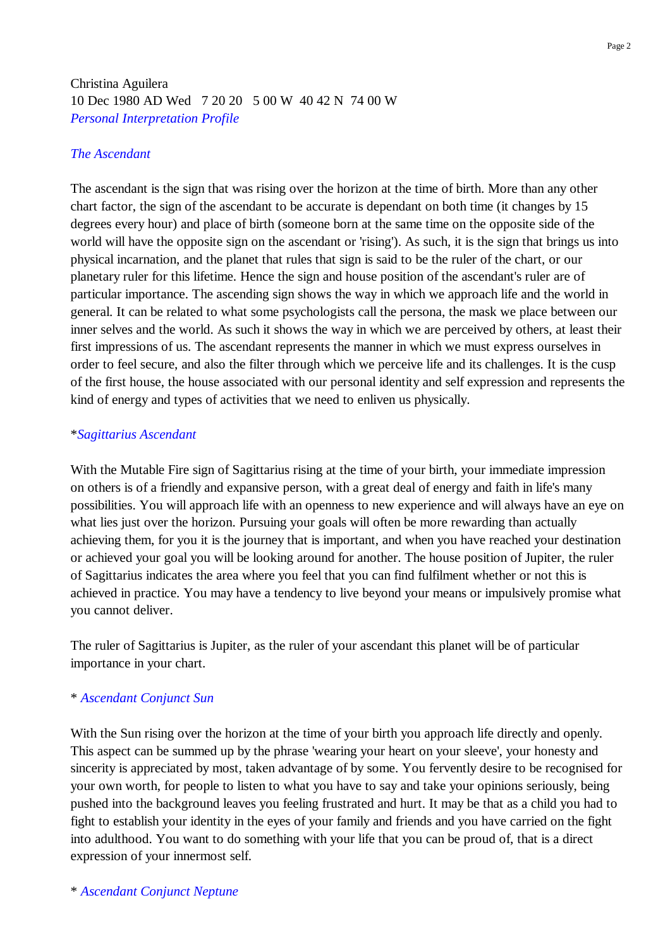# Christina Aguilera 10 Dec 1980 AD Wed 7 20 20 5 00 W 40 42 N 74 00 W *Personal Interpretation Profile*

## *The Ascendant*

The ascendant is the sign that was rising over the horizon at the time of birth. More than any other chart factor, the sign of the ascendant to be accurate is dependant on both time (it changes by 15 degrees every hour) and place of birth (someone born at the same time on the opposite side of the world will have the opposite sign on the ascendant or 'rising'). As such, it is the sign that brings us into physical incarnation, and the planet that rules that sign is said to be the ruler of the chart, or our planetary ruler for this lifetime. Hence the sign and house position of the ascendant's ruler are of particular importance. The ascending sign shows the way in which we approach life and the world in general. It can be related to what some psychologists call the persona, the mask we place between our inner selves and the world. As such it shows the way in which we are perceived by others, at least their first impressions of us. The ascendant represents the manner in which we must express ourselves in order to feel secure, and also the filter through which we perceive life and its challenges. It is the cusp of the first house, the house associated with our personal identity and self expression and represents the kind of energy and types of activities that we need to enliven us physically.

#### \**Sagittarius Ascendant*

With the Mutable Fire sign of Sagittarius rising at the time of your birth, your immediate impression on others is of a friendly and expansive person, with a great deal of energy and faith in life's many possibilities. You will approach life with an openness to new experience and will always have an eye on what lies just over the horizon. Pursuing your goals will often be more rewarding than actually achieving them, for you it is the journey that is important, and when you have reached your destination or achieved your goal you will be looking around for another. The house position of Jupiter, the ruler of Sagittarius indicates the area where you feel that you can find fulfilment whether or not this is achieved in practice. You may have a tendency to live beyond your means or impulsively promise what you cannot deliver.

The ruler of Sagittarius is Jupiter, as the ruler of your ascendant this planet will be of particular importance in your chart.

## \* *Ascendant Conjunct Sun*

With the Sun rising over the horizon at the time of your birth you approach life directly and openly. This aspect can be summed up by the phrase 'wearing your heart on your sleeve', your honesty and sincerity is appreciated by most, taken advantage of by some. You fervently desire to be recognised for your own worth, for people to listen to what you have to say and take your opinions seriously, being pushed into the background leaves you feeling frustrated and hurt. It may be that as a child you had to fight to establish your identity in the eyes of your family and friends and you have carried on the fight into adulthood. You want to do something with your life that you can be proud of, that is a direct expression of your innermost self.

Page 2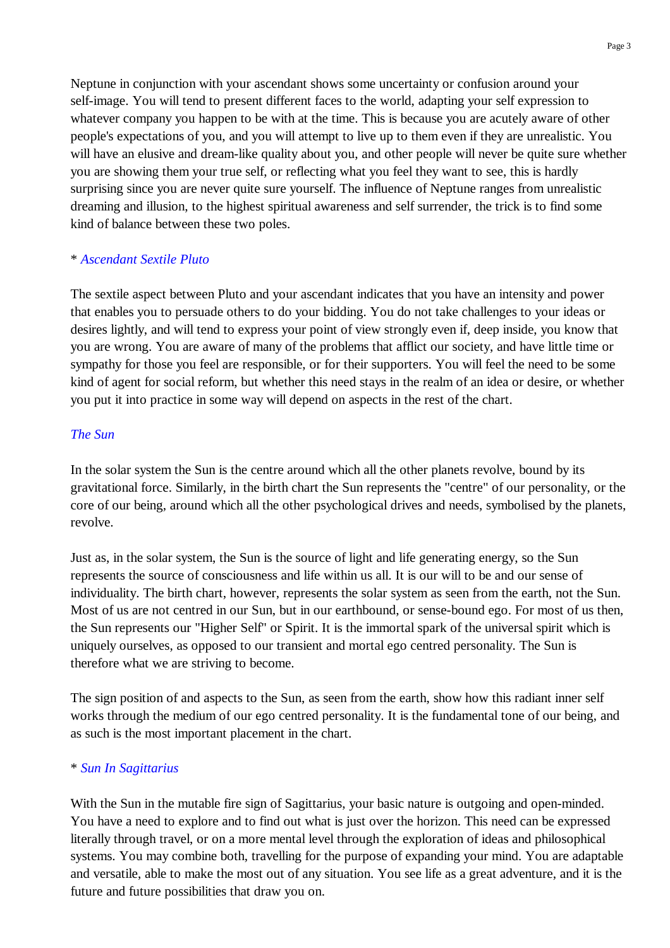Neptune in conjunction with your ascendant shows some uncertainty or confusion around your self-image. You will tend to present different faces to the world, adapting your self expression to whatever company you happen to be with at the time. This is because you are acutely aware of other people's expectations of you, and you will attempt to live up to them even if they are unrealistic. You will have an elusive and dream-like quality about you, and other people will never be quite sure whether you are showing them your true self, or reflecting what you feel they want to see, this is hardly surprising since you are never quite sure yourself. The influence of Neptune ranges from unrealistic dreaming and illusion, to the highest spiritual awareness and self surrender, the trick is to find some kind of balance between these two poles.

### \* *Ascendant Sextile Pluto*

The sextile aspect between Pluto and your ascendant indicates that you have an intensity and power that enables you to persuade others to do your bidding. You do not take challenges to your ideas or desires lightly, and will tend to express your point of view strongly even if, deep inside, you know that you are wrong. You are aware of many of the problems that afflict our society, and have little time or sympathy for those you feel are responsible, or for their supporters. You will feel the need to be some kind of agent for social reform, but whether this need stays in the realm of an idea or desire, or whether you put it into practice in some way will depend on aspects in the rest of the chart.

### *The Sun*

In the solar system the Sun is the centre around which all the other planets revolve, bound by its gravitational force. Similarly, in the birth chart the Sun represents the "centre" of our personality, or the core of our being, around which all the other psychological drives and needs, symbolised by the planets, revolve.

Just as, in the solar system, the Sun is the source of light and life generating energy, so the Sun represents the source of consciousness and life within us all. It is our will to be and our sense of individuality. The birth chart, however, represents the solar system as seen from the earth, not the Sun. Most of us are not centred in our Sun, but in our earthbound, or sense-bound ego. For most of us then, the Sun represents our "Higher Self" or Spirit. It is the immortal spark of the universal spirit which is uniquely ourselves, as opposed to our transient and mortal ego centred personality. The Sun is therefore what we are striving to become.

The sign position of and aspects to the Sun, as seen from the earth, show how this radiant inner self works through the medium of our ego centred personality. It is the fundamental tone of our being, and as such is the most important placement in the chart.

#### \* *Sun In Sagittarius*

With the Sun in the mutable fire sign of Sagittarius, your basic nature is outgoing and open-minded. You have a need to explore and to find out what is just over the horizon. This need can be expressed literally through travel, or on a more mental level through the exploration of ideas and philosophical systems. You may combine both, travelling for the purpose of expanding your mind. You are adaptable and versatile, able to make the most out of any situation. You see life as a great adventure, and it is the future and future possibilities that draw you on.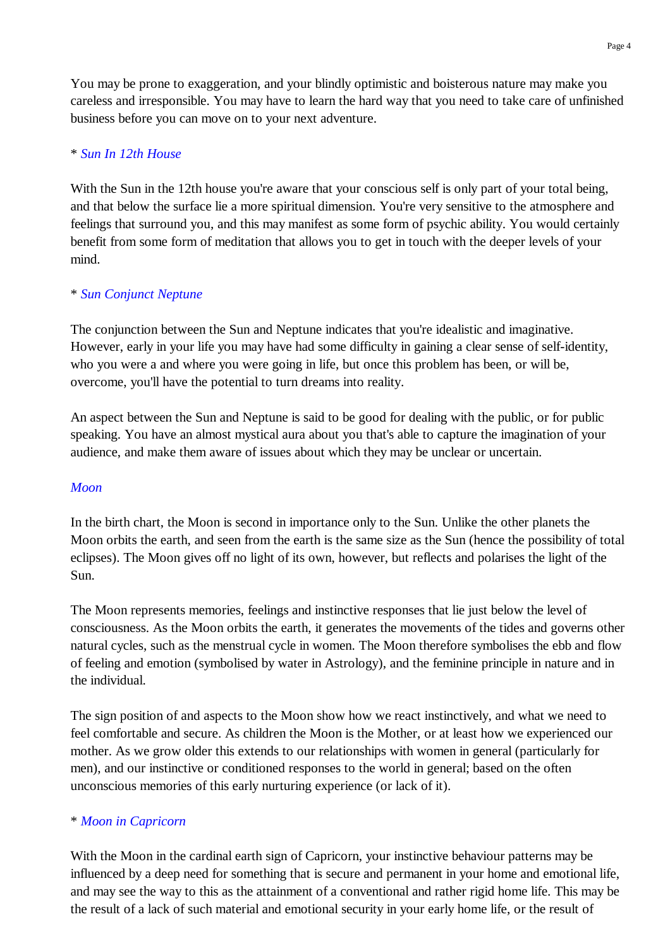You may be prone to exaggeration, and your blindly optimistic and boisterous nature may make you careless and irresponsible. You may have to learn the hard way that you need to take care of unfinished business before you can move on to your next adventure.

## \* *Sun In 12th House*

With the Sun in the 12th house you're aware that your conscious self is only part of your total being, and that below the surface lie a more spiritual dimension. You're very sensitive to the atmosphere and feelings that surround you, and this may manifest as some form of psychic ability. You would certainly benefit from some form of meditation that allows you to get in touch with the deeper levels of your mind.

## \* *Sun Conjunct Neptune*

The conjunction between the Sun and Neptune indicates that you're idealistic and imaginative. However, early in your life you may have had some difficulty in gaining a clear sense of self-identity, who you were a and where you were going in life, but once this problem has been, or will be, overcome, you'll have the potential to turn dreams into reality.

An aspect between the Sun and Neptune is said to be good for dealing with the public, or for public speaking. You have an almost mystical aura about you that's able to capture the imagination of your audience, and make them aware of issues about which they may be unclear or uncertain.

## *Moon*

In the birth chart, the Moon is second in importance only to the Sun. Unlike the other planets the Moon orbits the earth, and seen from the earth is the same size as the Sun (hence the possibility of total eclipses). The Moon gives off no light of its own, however, but reflects and polarises the light of the Sun.

The Moon represents memories, feelings and instinctive responses that lie just below the level of consciousness. As the Moon orbits the earth, it generates the movements of the tides and governs other natural cycles, such as the menstrual cycle in women. The Moon therefore symbolises the ebb and flow of feeling and emotion (symbolised by water in Astrology), and the feminine principle in nature and in the individual.

The sign position of and aspects to the Moon show how we react instinctively, and what we need to feel comfortable and secure. As children the Moon is the Mother, or at least how we experienced our mother. As we grow older this extends to our relationships with women in general (particularly for men), and our instinctive or conditioned responses to the world in general; based on the often unconscious memories of this early nurturing experience (or lack of it).

# \* *Moon in Capricorn*

With the Moon in the cardinal earth sign of Capricorn, your instinctive behaviour patterns may be influenced by a deep need for something that is secure and permanent in your home and emotional life, and may see the way to this as the attainment of a conventional and rather rigid home life. This may be the result of a lack of such material and emotional security in your early home life, or the result of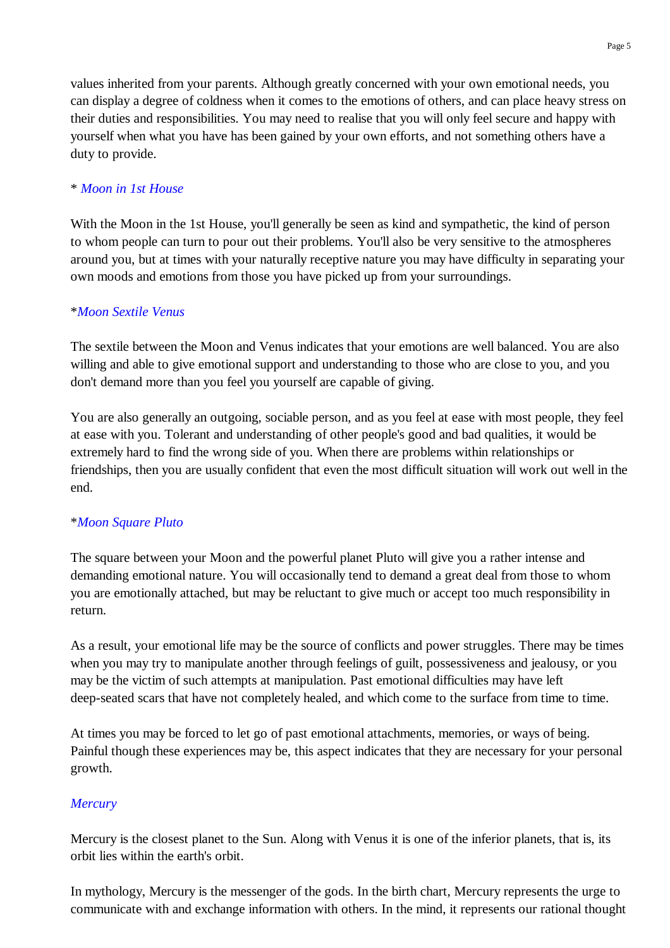values inherited from your parents. Although greatly concerned with your own emotional needs, you can display a degree of coldness when it comes to the emotions of others, and can place heavy stress on their duties and responsibilities. You may need to realise that you will only feel secure and happy with yourself when what you have has been gained by your own efforts, and not something others have a duty to provide.

# \* *Moon in 1st House*

With the Moon in the 1st House, you'll generally be seen as kind and sympathetic, the kind of person to whom people can turn to pour out their problems. You'll also be very sensitive to the atmospheres around you, but at times with your naturally receptive nature you may have difficulty in separating your own moods and emotions from those you have picked up from your surroundings.

## \**Moon Sextile Venus*

The sextile between the Moon and Venus indicates that your emotions are well balanced. You are also willing and able to give emotional support and understanding to those who are close to you, and you don't demand more than you feel you yourself are capable of giving.

You are also generally an outgoing, sociable person, and as you feel at ease with most people, they feel at ease with you. Tolerant and understanding of other people's good and bad qualities, it would be extremely hard to find the wrong side of you. When there are problems within relationships or friendships, then you are usually confident that even the most difficult situation will work out well in the end.

## \**Moon Square Pluto*

The square between your Moon and the powerful planet Pluto will give you a rather intense and demanding emotional nature. You will occasionally tend to demand a great deal from those to whom you are emotionally attached, but may be reluctant to give much or accept too much responsibility in return.

As a result, your emotional life may be the source of conflicts and power struggles. There may be times when you may try to manipulate another through feelings of guilt, possessiveness and jealousy, or you may be the victim of such attempts at manipulation. Past emotional difficulties may have left deep-seated scars that have not completely healed, and which come to the surface from time to time.

At times you may be forced to let go of past emotional attachments, memories, or ways of being. Painful though these experiences may be, this aspect indicates that they are necessary for your personal growth.

# *Mercury*

Mercury is the closest planet to the Sun. Along with Venus it is one of the inferior planets, that is, its orbit lies within the earth's orbit.

In mythology, Mercury is the messenger of the gods. In the birth chart, Mercury represents the urge to communicate with and exchange information with others. In the mind, it represents our rational thought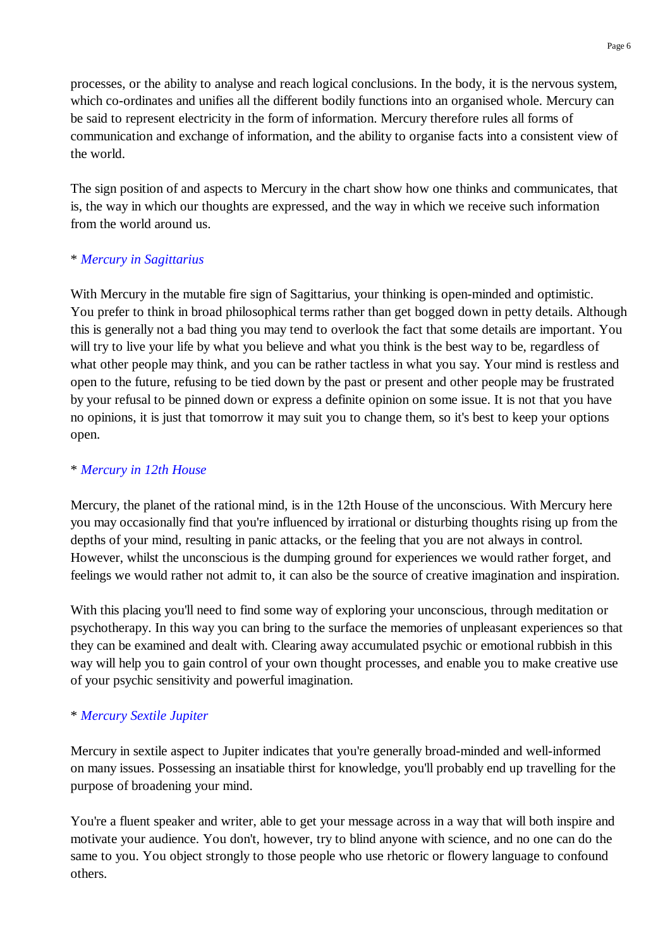processes, or the ability to analyse and reach logical conclusions. In the body, it is the nervous system, which co-ordinates and unifies all the different bodily functions into an organised whole. Mercury can be said to represent electricity in the form of information. Mercury therefore rules all forms of communication and exchange of information, and the ability to organise facts into a consistent view of the world.

The sign position of and aspects to Mercury in the chart show how one thinks and communicates, that is, the way in which our thoughts are expressed, and the way in which we receive such information from the world around us.

## \* *Mercury in Sagittarius*

With Mercury in the mutable fire sign of Sagittarius, your thinking is open-minded and optimistic. You prefer to think in broad philosophical terms rather than get bogged down in petty details. Although this is generally not a bad thing you may tend to overlook the fact that some details are important. You will try to live your life by what you believe and what you think is the best way to be, regardless of what other people may think, and you can be rather tactless in what you say. Your mind is restless and open to the future, refusing to be tied down by the past or present and other people may be frustrated by your refusal to be pinned down or express a definite opinion on some issue. It is not that you have no opinions, it is just that tomorrow it may suit you to change them, so it's best to keep your options open.

## \* *Mercury in 12th House*

Mercury, the planet of the rational mind, is in the 12th House of the unconscious. With Mercury here you may occasionally find that you're influenced by irrational or disturbing thoughts rising up from the depths of your mind, resulting in panic attacks, or the feeling that you are not always in control. However, whilst the unconscious is the dumping ground for experiences we would rather forget, and feelings we would rather not admit to, it can also be the source of creative imagination and inspiration.

With this placing you'll need to find some way of exploring your unconscious, through meditation or psychotherapy. In this way you can bring to the surface the memories of unpleasant experiences so that they can be examined and dealt with. Clearing away accumulated psychic or emotional rubbish in this way will help you to gain control of your own thought processes, and enable you to make creative use of your psychic sensitivity and powerful imagination.

## \* *Mercury Sextile Jupiter*

Mercury in sextile aspect to Jupiter indicates that you're generally broad-minded and well-informed on many issues. Possessing an insatiable thirst for knowledge, you'll probably end up travelling for the purpose of broadening your mind.

You're a fluent speaker and writer, able to get your message across in a way that will both inspire and motivate your audience. You don't, however, try to blind anyone with science, and no one can do the same to you. You object strongly to those people who use rhetoric or flowery language to confound others.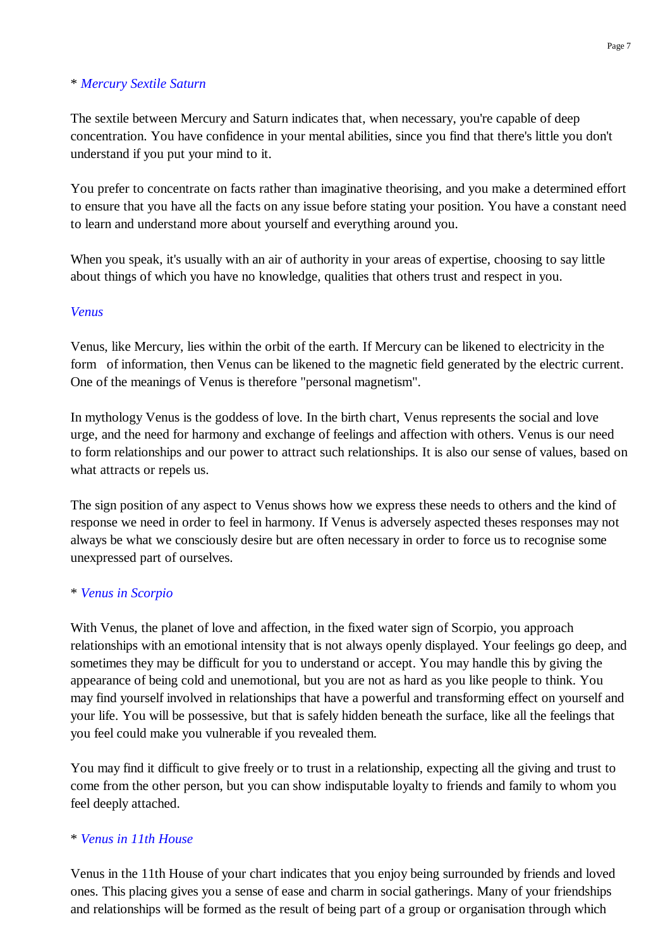## \* *Mercury Sextile Saturn*

The sextile between Mercury and Saturn indicates that, when necessary, you're capable of deep concentration. You have confidence in your mental abilities, since you find that there's little you don't understand if you put your mind to it.

You prefer to concentrate on facts rather than imaginative theorising, and you make a determined effort to ensure that you have all the facts on any issue before stating your position. You have a constant need to learn and understand more about yourself and everything around you.

When you speak, it's usually with an air of authority in your areas of expertise, choosing to say little about things of which you have no knowledge, qualities that others trust and respect in you.

## *Venus*

Venus, like Mercury, lies within the orbit of the earth. If Mercury can be likened to electricity in the form of information, then Venus can be likened to the magnetic field generated by the electric current. One of the meanings of Venus is therefore "personal magnetism".

In mythology Venus is the goddess of love. In the birth chart, Venus represents the social and love urge, and the need for harmony and exchange of feelings and affection with others. Venus is our need to form relationships and our power to attract such relationships. It is also our sense of values, based on what attracts or repels us.

The sign position of any aspect to Venus shows how we express these needs to others and the kind of response we need in order to feel in harmony. If Venus is adversely aspected theses responses may not always be what we consciously desire but are often necessary in order to force us to recognise some unexpressed part of ourselves.

## \* *Venus in Scorpio*

With Venus, the planet of love and affection, in the fixed water sign of Scorpio, you approach relationships with an emotional intensity that is not always openly displayed. Your feelings go deep, and sometimes they may be difficult for you to understand or accept. You may handle this by giving the appearance of being cold and unemotional, but you are not as hard as you like people to think. You may find yourself involved in relationships that have a powerful and transforming effect on yourself and your life. You will be possessive, but that is safely hidden beneath the surface, like all the feelings that you feel could make you vulnerable if you revealed them.

You may find it difficult to give freely or to trust in a relationship, expecting all the giving and trust to come from the other person, but you can show indisputable loyalty to friends and family to whom you feel deeply attached.

#### \* *Venus in 11th House*

Venus in the 11th House of your chart indicates that you enjoy being surrounded by friends and loved ones. This placing gives you a sense of ease and charm in social gatherings. Many of your friendships and relationships will be formed as the result of being part of a group or organisation through which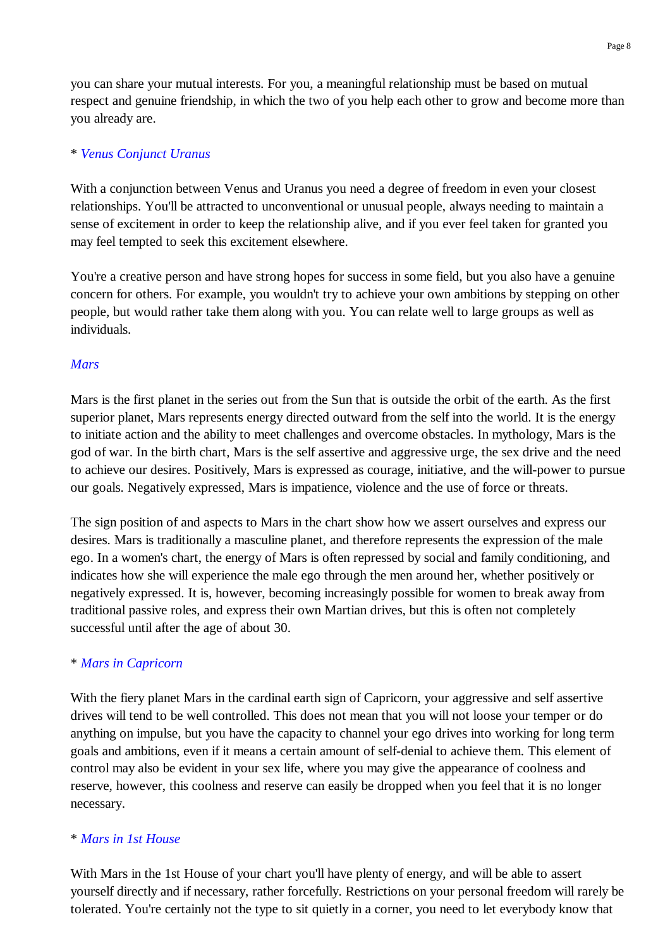you can share your mutual interests. For you, a meaningful relationship must be based on mutual respect and genuine friendship, in which the two of you help each other to grow and become more than you already are.

## \* *Venus Conjunct Uranus*

With a conjunction between Venus and Uranus you need a degree of freedom in even your closest relationships. You'll be attracted to unconventional or unusual people, always needing to maintain a sense of excitement in order to keep the relationship alive, and if you ever feel taken for granted you may feel tempted to seek this excitement elsewhere.

You're a creative person and have strong hopes for success in some field, but you also have a genuine concern for others. For example, you wouldn't try to achieve your own ambitions by stepping on other people, but would rather take them along with you. You can relate well to large groups as well as individuals.

### *Mars*

Mars is the first planet in the series out from the Sun that is outside the orbit of the earth. As the first superior planet, Mars represents energy directed outward from the self into the world. It is the energy to initiate action and the ability to meet challenges and overcome obstacles. In mythology, Mars is the god of war. In the birth chart, Mars is the self assertive and aggressive urge, the sex drive and the need to achieve our desires. Positively, Mars is expressed as courage, initiative, and the will-power to pursue our goals. Negatively expressed, Mars is impatience, violence and the use of force or threats.

The sign position of and aspects to Mars in the chart show how we assert ourselves and express our desires. Mars is traditionally a masculine planet, and therefore represents the expression of the male ego. In a women's chart, the energy of Mars is often repressed by social and family conditioning, and indicates how she will experience the male ego through the men around her, whether positively or negatively expressed. It is, however, becoming increasingly possible for women to break away from traditional passive roles, and express their own Martian drives, but this is often not completely successful until after the age of about 30.

#### \* *Mars in Capricorn*

With the fiery planet Mars in the cardinal earth sign of Capricorn, your aggressive and self assertive drives will tend to be well controlled. This does not mean that you will not loose your temper or do anything on impulse, but you have the capacity to channel your ego drives into working for long term goals and ambitions, even if it means a certain amount of self-denial to achieve them. This element of control may also be evident in your sex life, where you may give the appearance of coolness and reserve, however, this coolness and reserve can easily be dropped when you feel that it is no longer necessary.

#### \* *Mars in 1st House*

With Mars in the 1st House of your chart you'll have plenty of energy, and will be able to assert yourself directly and if necessary, rather forcefully. Restrictions on your personal freedom will rarely be tolerated. You're certainly not the type to sit quietly in a corner, you need to let everybody know that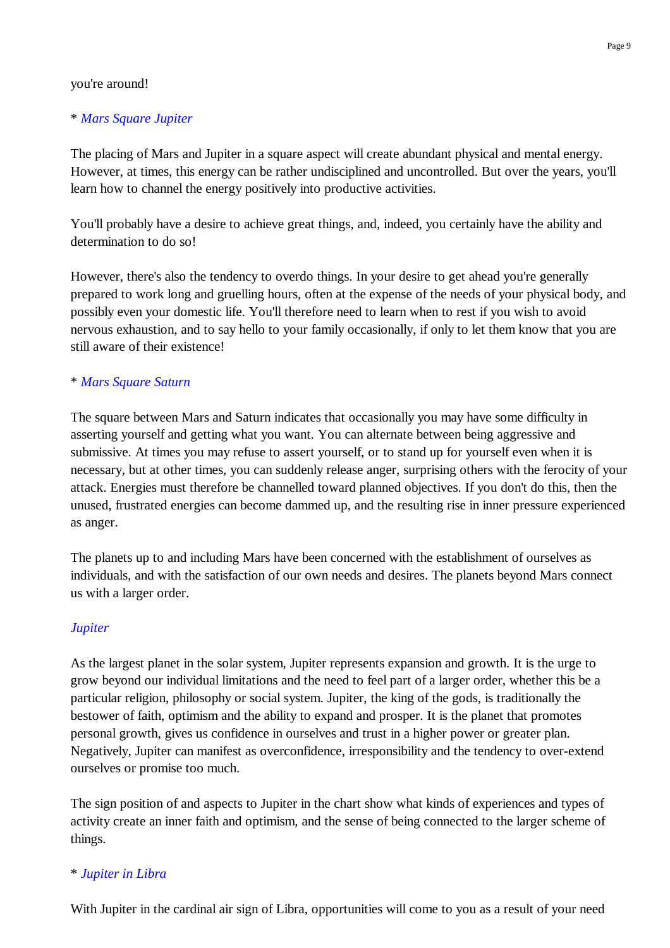#### you're around!

## \* *Mars Square Jupiter*

The placing of Mars and Jupiter in a square aspect will create abundant physical and mental energy. However, at times, this energy can be rather undisciplined and uncontrolled. But over the years, you'll learn how to channel the energy positively into productive activities.

You'll probably have a desire to achieve great things, and, indeed, you certainly have the ability and determination to do so!

However, there's also the tendency to overdo things. In your desire to get ahead you're generally prepared to work long and gruelling hours, often at the expense of the needs of your physical body, and possibly even your domestic life. You'll therefore need to learn when to rest if you wish to avoid nervous exhaustion, and to say hello to your family occasionally, if only to let them know that you are still aware of their existence!

## \* *Mars Square Saturn*

The square between Mars and Saturn indicates that occasionally you may have some difficulty in asserting yourself and getting what you want. You can alternate between being aggressive and submissive. At times you may refuse to assert yourself, or to stand up for yourself even when it is necessary, but at other times, you can suddenly release anger, surprising others with the ferocity of your attack. Energies must therefore be channelled toward planned objectives. If you don't do this, then the unused, frustrated energies can become dammed up, and the resulting rise in inner pressure experienced as anger.

The planets up to and including Mars have been concerned with the establishment of ourselves as individuals, and with the satisfaction of our own needs and desires. The planets beyond Mars connect us with a larger order.

## *Jupiter*

As the largest planet in the solar system, Jupiter represents expansion and growth. It is the urge to grow beyond our individual limitations and the need to feel part of a larger order, whether this be a particular religion, philosophy or social system. Jupiter, the king of the gods, is traditionally the bestower of faith, optimism and the ability to expand and prosper. It is the planet that promotes personal growth, gives us confidence in ourselves and trust in a higher power or greater plan. Negatively, Jupiter can manifest as overconfidence, irresponsibility and the tendency to over-extend ourselves or promise too much.

The sign position of and aspects to Jupiter in the chart show what kinds of experiences and types of activity create an inner faith and optimism, and the sense of being connected to the larger scheme of things.

## \* *Jupiter in Libra*

With Jupiter in the cardinal air sign of Libra, opportunities will come to you as a result of your need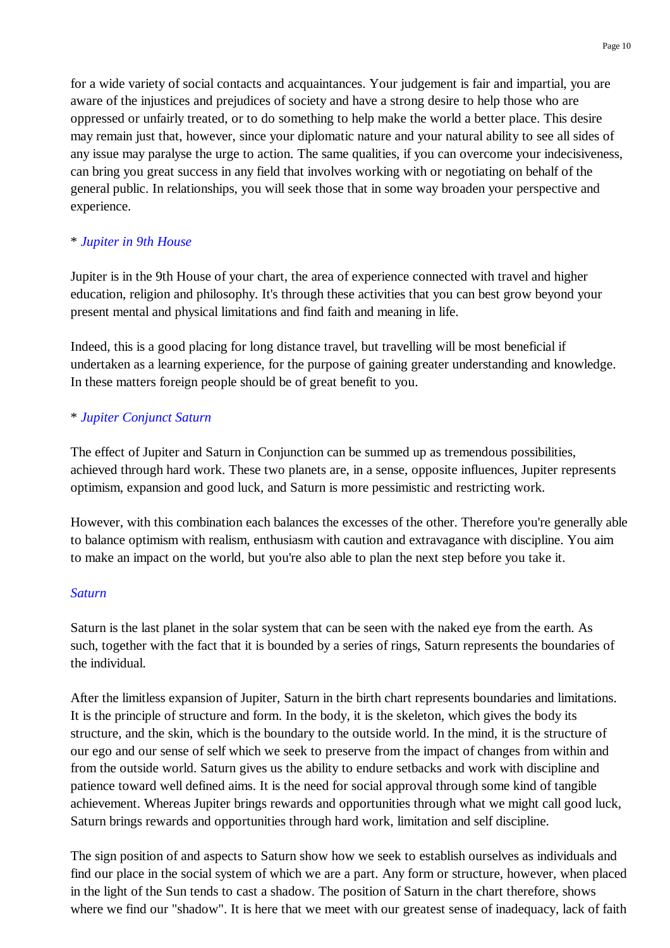for a wide variety of social contacts and acquaintances. Your judgement is fair and impartial, you are aware of the injustices and prejudices of society and have a strong desire to help those who are oppressed or unfairly treated, or to do something to help make the world a better place. This desire may remain just that, however, since your diplomatic nature and your natural ability to see all sides of any issue may paralyse the urge to action. The same qualities, if you can overcome your indecisiveness, can bring you great success in any field that involves working with or negotiating on behalf of the general public. In relationships, you will seek those that in some way broaden your perspective and experience.

# \* *Jupiter in 9th House*

Jupiter is in the 9th House of your chart, the area of experience connected with travel and higher education, religion and philosophy. It's through these activities that you can best grow beyond your present mental and physical limitations and find faith and meaning in life.

Indeed, this is a good placing for long distance travel, but travelling will be most beneficial if undertaken as a learning experience, for the purpose of gaining greater understanding and knowledge. In these matters foreign people should be of great benefit to you.

# \* *Jupiter Conjunct Saturn*

The effect of Jupiter and Saturn in Conjunction can be summed up as tremendous possibilities, achieved through hard work. These two planets are, in a sense, opposite influences, Jupiter represents optimism, expansion and good luck, and Saturn is more pessimistic and restricting work.

However, with this combination each balances the excesses of the other. Therefore you're generally able to balance optimism with realism, enthusiasm with caution and extravagance with discipline. You aim to make an impact on the world, but you're also able to plan the next step before you take it.

# *Saturn*

Saturn is the last planet in the solar system that can be seen with the naked eye from the earth. As such, together with the fact that it is bounded by a series of rings, Saturn represents the boundaries of the individual.

After the limitless expansion of Jupiter, Saturn in the birth chart represents boundaries and limitations. It is the principle of structure and form. In the body, it is the skeleton, which gives the body its structure, and the skin, which is the boundary to the outside world. In the mind, it is the structure of our ego and our sense of self which we seek to preserve from the impact of changes from within and from the outside world. Saturn gives us the ability to endure setbacks and work with discipline and patience toward well defined aims. It is the need for social approval through some kind of tangible achievement. Whereas Jupiter brings rewards and opportunities through what we might call good luck, Saturn brings rewards and opportunities through hard work, limitation and self discipline.

The sign position of and aspects to Saturn show how we seek to establish ourselves as individuals and find our place in the social system of which we are a part. Any form or structure, however, when placed in the light of the Sun tends to cast a shadow. The position of Saturn in the chart therefore, shows where we find our "shadow". It is here that we meet with our greatest sense of inadequacy, lack of faith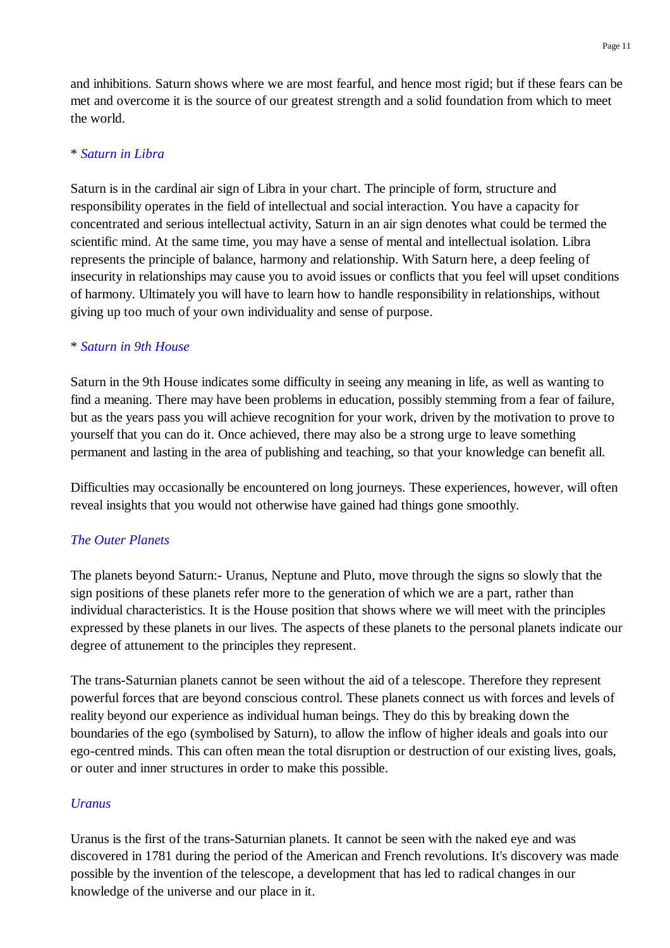and inhibitions. Saturn shows where we are most fearful, and hence most rigid; but if these fears can be met and overcome it is the source of our greatest strength and a solid foundation from which to meet the world.

### \* *Saturn in Libra*

Saturn is in the cardinal air sign of Libra in your chart. The principle of form, structure and responsibility operates in the field of intellectual and social interaction. You have a capacity for concentrated and serious intellectual activity, Saturn in an air sign denotes what could be termed the scientific mind. At the same time, you may have a sense of mental and intellectual isolation. Libra represents the principle of balance, harmony and relationship. With Saturn here, a deep feeling of insecurity in relationships may cause you to avoid issues or conflicts that you feel will upset conditions of harmony. Ultimately you will have to learn how to handle responsibility in relationships, without giving up too much of your own individuality and sense of purpose.

#### \* *Saturn in 9th House*

Saturn in the 9th House indicates some difficulty in seeing any meaning in life, as well as wanting to find a meaning. There may have been problems in education, possibly stemming from a fear of failure, but as the years pass you will achieve recognition for your work, driven by the motivation to prove to yourself that you can do it. Once achieved, there may also be a strong urge to leave something permanent and lasting in the area of publishing and teaching, so that your knowledge can benefit all.

Difficulties may occasionally be encountered on long journeys. These experiences, however, will often reveal insights that you would not otherwise have gained had things gone smoothly.

#### *The Outer Planets*

The planets beyond Saturn:- Uranus, Neptune and Pluto, move through the signs so slowly that the sign positions of these planets refer more to the generation of which we are a part, rather than individual characteristics. It is the House position that shows where we will meet with the principles expressed by these planets in our lives. The aspects of these planets to the personal planets indicate our degree of attunement to the principles they represent.

The trans-Saturnian planets cannot be seen without the aid of a telescope. Therefore they represent powerful forces that are beyond conscious control. These planets connect us with forces and levels of reality beyond our experience as individual human beings. They do this by breaking down the boundaries of the ego (symbolised by Saturn), to allow the inflow of higher ideals and goals into our ego-centred minds. This can often mean the total disruption or destruction of our existing lives, goals, or outer and inner structures in order to make this possible.

#### *Uranus*

Uranus is the first of the trans-Saturnian planets. It cannot be seen with the naked eye and was discovered in 1781 during the period of the American and French revolutions. It's discovery was made possible by the invention of the telescope, a development that has led to radical changes in our knowledge of the universe and our place in it.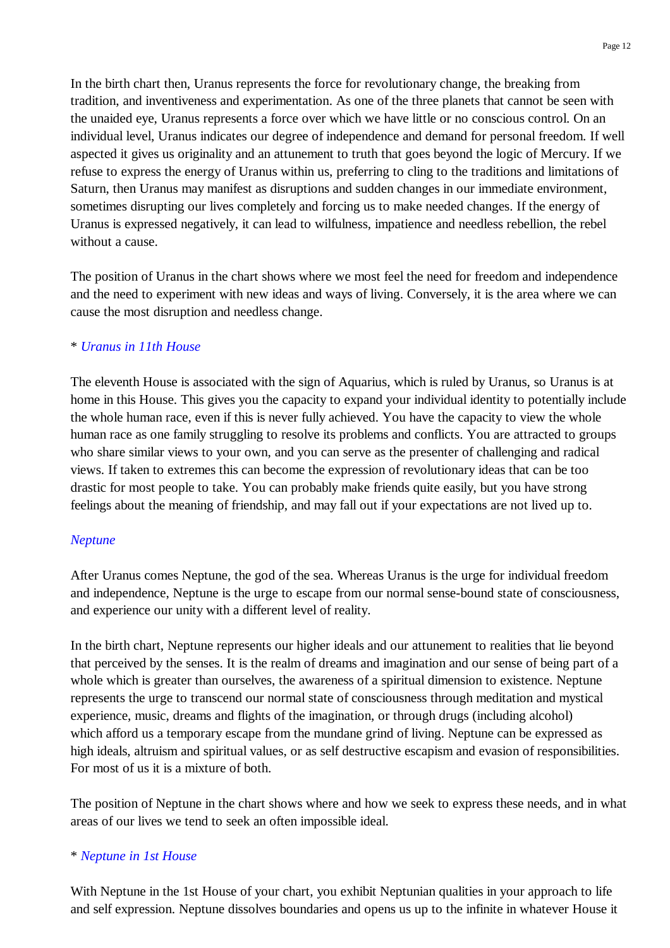In the birth chart then, Uranus represents the force for revolutionary change, the breaking from tradition, and inventiveness and experimentation. As one of the three planets that cannot be seen with the unaided eye, Uranus represents a force over which we have little or no conscious control. On an individual level, Uranus indicates our degree of independence and demand for personal freedom. If well aspected it gives us originality and an attunement to truth that goes beyond the logic of Mercury. If we refuse to express the energy of Uranus within us, preferring to cling to the traditions and limitations of Saturn, then Uranus may manifest as disruptions and sudden changes in our immediate environment, sometimes disrupting our lives completely and forcing us to make needed changes. If the energy of Uranus is expressed negatively, it can lead to wilfulness, impatience and needless rebellion, the rebel without a cause.

The position of Uranus in the chart shows where we most feel the need for freedom and independence and the need to experiment with new ideas and ways of living. Conversely, it is the area where we can cause the most disruption and needless change.

### \* *Uranus in 11th House*

The eleventh House is associated with the sign of Aquarius, which is ruled by Uranus, so Uranus is at home in this House. This gives you the capacity to expand your individual identity to potentially include the whole human race, even if this is never fully achieved. You have the capacity to view the whole human race as one family struggling to resolve its problems and conflicts. You are attracted to groups who share similar views to your own, and you can serve as the presenter of challenging and radical views. If taken to extremes this can become the expression of revolutionary ideas that can be too drastic for most people to take. You can probably make friends quite easily, but you have strong feelings about the meaning of friendship, and may fall out if your expectations are not lived up to.

#### *Neptune*

After Uranus comes Neptune, the god of the sea. Whereas Uranus is the urge for individual freedom and independence, Neptune is the urge to escape from our normal sense-bound state of consciousness, and experience our unity with a different level of reality.

In the birth chart, Neptune represents our higher ideals and our attunement to realities that lie beyond that perceived by the senses. It is the realm of dreams and imagination and our sense of being part of a whole which is greater than ourselves, the awareness of a spiritual dimension to existence. Neptune represents the urge to transcend our normal state of consciousness through meditation and mystical experience, music, dreams and flights of the imagination, or through drugs (including alcohol) which afford us a temporary escape from the mundane grind of living. Neptune can be expressed as high ideals, altruism and spiritual values, or as self destructive escapism and evasion of responsibilities. For most of us it is a mixture of both.

The position of Neptune in the chart shows where and how we seek to express these needs, and in what areas of our lives we tend to seek an often impossible ideal.

#### \* *Neptune in 1st House*

With Neptune in the 1st House of your chart, you exhibit Neptunian qualities in your approach to life and self expression. Neptune dissolves boundaries and opens us up to the infinite in whatever House it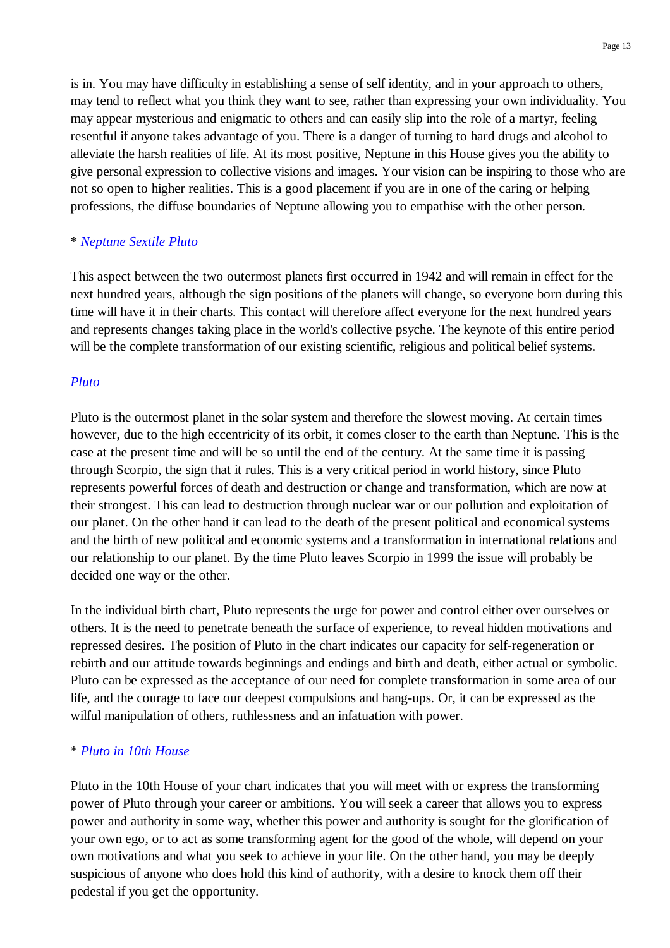is in. You may have difficulty in establishing a sense of self identity, and in your approach to others, may tend to reflect what you think they want to see, rather than expressing your own individuality. You may appear mysterious and enigmatic to others and can easily slip into the role of a martyr, feeling resentful if anyone takes advantage of you. There is a danger of turning to hard drugs and alcohol to alleviate the harsh realities of life. At its most positive, Neptune in this House gives you the ability to give personal expression to collective visions and images. Your vision can be inspiring to those who are not so open to higher realities. This is a good placement if you are in one of the caring or helping professions, the diffuse boundaries of Neptune allowing you to empathise with the other person.

## \* *Neptune Sextile Pluto*

This aspect between the two outermost planets first occurred in 1942 and will remain in effect for the next hundred years, although the sign positions of the planets will change, so everyone born during this time will have it in their charts. This contact will therefore affect everyone for the next hundred years and represents changes taking place in the world's collective psyche. The keynote of this entire period will be the complete transformation of our existing scientific, religious and political belief systems.

#### *Pluto*

Pluto is the outermost planet in the solar system and therefore the slowest moving. At certain times however, due to the high eccentricity of its orbit, it comes closer to the earth than Neptune. This is the case at the present time and will be so until the end of the century. At the same time it is passing through Scorpio, the sign that it rules. This is a very critical period in world history, since Pluto represents powerful forces of death and destruction or change and transformation, which are now at their strongest. This can lead to destruction through nuclear war or our pollution and exploitation of our planet. On the other hand it can lead to the death of the present political and economical systems and the birth of new political and economic systems and a transformation in international relations and our relationship to our planet. By the time Pluto leaves Scorpio in 1999 the issue will probably be decided one way or the other.

In the individual birth chart, Pluto represents the urge for power and control either over ourselves or others. It is the need to penetrate beneath the surface of experience, to reveal hidden motivations and repressed desires. The position of Pluto in the chart indicates our capacity for self-regeneration or rebirth and our attitude towards beginnings and endings and birth and death, either actual or symbolic. Pluto can be expressed as the acceptance of our need for complete transformation in some area of our life, and the courage to face our deepest compulsions and hang-ups. Or, it can be expressed as the wilful manipulation of others, ruthlessness and an infatuation with power.

#### \* *Pluto in 10th House*

Pluto in the 10th House of your chart indicates that you will meet with or express the transforming power of Pluto through your career or ambitions. You will seek a career that allows you to express power and authority in some way, whether this power and authority is sought for the glorification of your own ego, or to act as some transforming agent for the good of the whole, will depend on your own motivations and what you seek to achieve in your life. On the other hand, you may be deeply suspicious of anyone who does hold this kind of authority, with a desire to knock them off their pedestal if you get the opportunity.